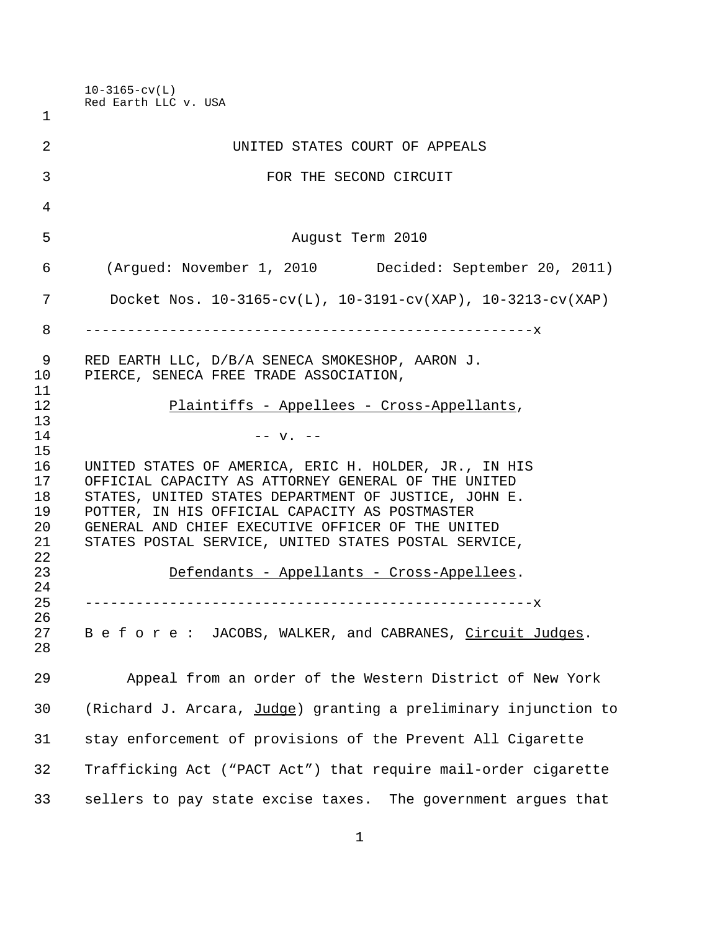10-3165-cv(L) Red Earth LLC v. USA UNITED STATES COURT OF APPEALS FOR THE SECOND CIRCUIT 5 August Term 2010 (Argued: November 1, 2010 Decided: September 20, 2011) Docket Nos. 10-3165-cv(L), 10-3191-cv(XAP), 10-3213-cv(XAP) -----------------------------------------------------x RED EARTH LLC, D/B/A SENECA SMOKESHOP, AARON J. PIERCE, SENECA FREE TRADE ASSOCIATION, Plaintiffs - Appellees - Cross-Appellants,  $\frac{13}{14}$  $-- v. --$  UNITED STATES OF AMERICA, ERIC H. HOLDER, JR., IN HIS OFFICIAL CAPACITY AS ATTORNEY GENERAL OF THE UNITED STATES, UNITED STATES DEPARTMENT OF JUSTICE, JOHN E. POTTER, IN HIS OFFICIAL CAPACITY AS POSTMASTER GENERAL AND CHIEF EXECUTIVE OFFICER OF THE UNITED STATES POSTAL SERVICE, UNITED STATES POSTAL SERVICE, Defendants - Appellants - Cross-Appellees. -----------------------------------------------------x 27 B e f o r e: JACOBS, WALKER, and CABRANES, Circuit Judges. Appeal from an order of the Western District of New York (Richard J. Arcara, Judge) granting a preliminary injunction to stay enforcement of provisions of the Prevent All Cigarette Trafficking Act ("PACT Act") that require mail-order cigarette sellers to pay state excise taxes. The government argues that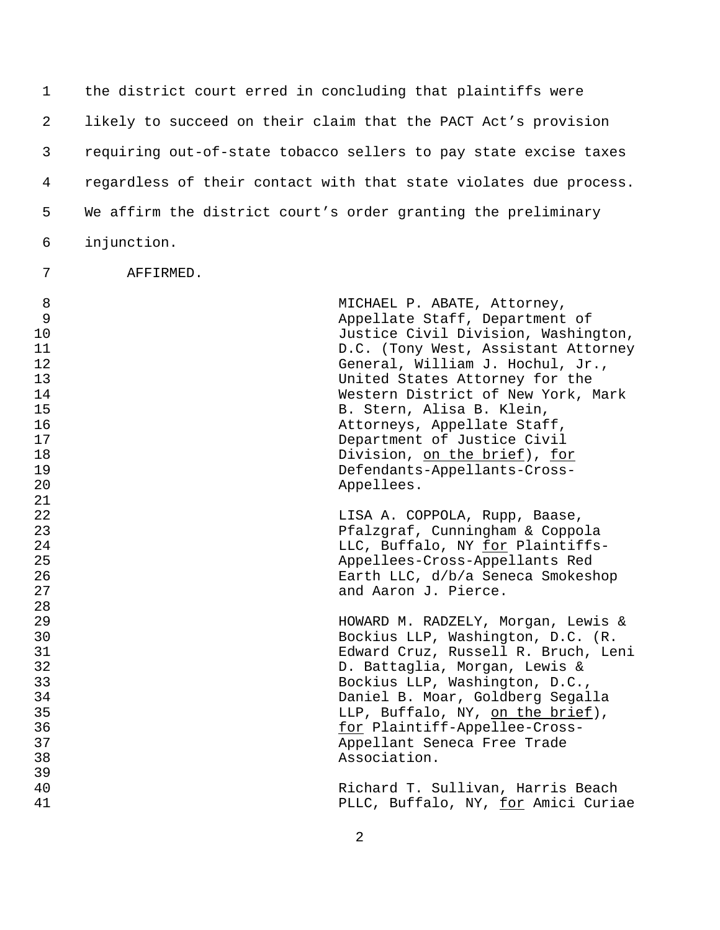the district court erred in concluding that plaintiffs were likely to succeed on their claim that the PACT Act's provision requiring out-of-state tobacco sellers to pay state excise taxes regardless of their contact with that state violates due process. We affirm the district court's order granting the preliminary injunction.

AFFIRMED.

| 8  | MICHAEL P. ABATE, Attorney,         |
|----|-------------------------------------|
| 9  | Appellate Staff, Department of      |
| 10 | Justice Civil Division, Washington, |
| 11 | D.C. (Tony West, Assistant Attorney |
| 12 | General, William J. Hochul, Jr.,    |
| 13 | United States Attorney for the      |
| 14 | Western District of New York, Mark  |
| 15 | B. Stern, Alisa B. Klein,           |
| 16 | Attorneys, Appellate Staff,         |
| 17 | Department of Justice Civil         |
| 18 | Division, on the brief), for        |
| 19 | Defendants-Appellants-Cross-        |
| 20 | Appellees.                          |
| 21 |                                     |
| 22 | LISA A. COPPOLA, Rupp, Baase,       |
| 23 | Pfalzgraf, Cunningham & Coppola     |
| 24 | LLC, Buffalo, NY for Plaintiffs-    |
| 25 | Appellees-Cross-Appellants Red      |
| 26 | Earth LLC, d/b/a Seneca Smokeshop   |
| 27 | and Aaron J. Pierce.                |
| 28 |                                     |
| 29 | HOWARD M. RADZELY, Morgan, Lewis &  |
| 30 | Bockius LLP, Washington, D.C. (R.   |
| 31 | Edward Cruz, Russell R. Bruch, Leni |
| 32 | D. Battaglia, Morgan, Lewis &       |
| 33 | Bockius LLP, Washington, D.C.,      |
| 34 | Daniel B. Moar, Goldberg Segalla    |
| 35 | LLP, Buffalo, NY, on the brief),    |
| 36 | for Plaintiff-Appellee-Cross-       |
| 37 | Appellant Seneca Free Trade         |
| 38 | Association.                        |
| 39 |                                     |
| 40 | Richard T. Sullivan, Harris Beach   |
| 41 | PLLC, Buffalo, NY, for Amici Curiae |
|    |                                     |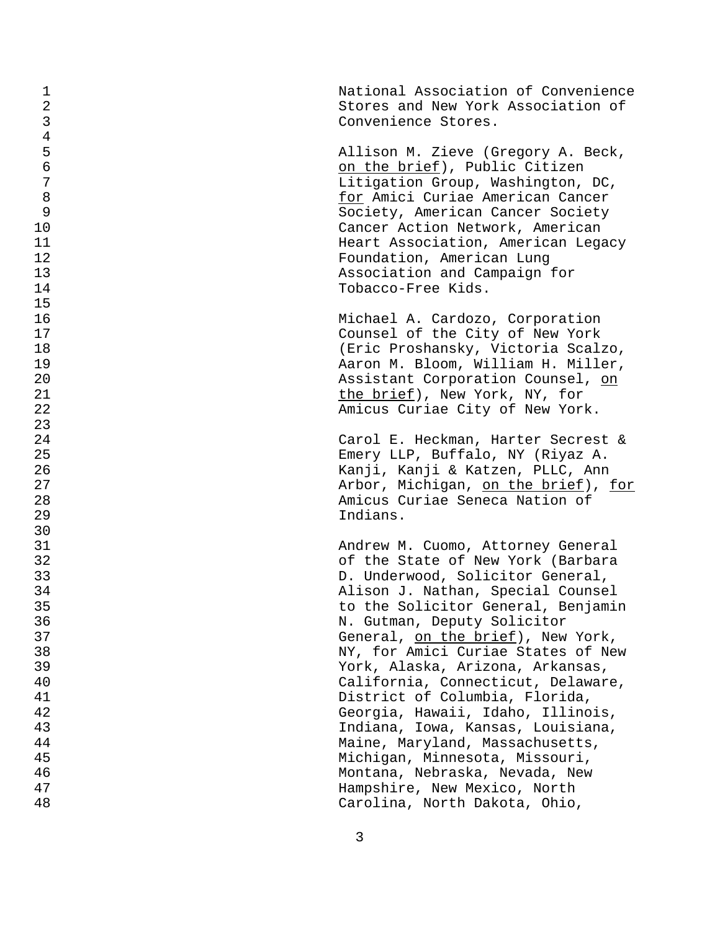1<br>2<br>2<br>2 Stores and New York Association of Convenience Stores.

5 Allison M. Zieve (Gregory A. Beck, on the brief), Public Citizen 7<br>External Litigation Group, Washington, DC,<br>For Amici Curiae American Cancer 8 for Amici Curiae American Cancer<br>9 for American Cancer Society<br>9 for American Cancer Society Society, American Cancer Society Cancer Action Network, American 11 12 European State of the Heart Association, American Legacy<br>12 Eoundation, American Lung Foundation, American Lung Association and Campaign for Tobacco-Free Kids.

 Michael A. Cardozo, Corporation 17 Counsel of the City of New York<br>18 (Eric Proshansky, Victoria Scal: 18 (Eric Proshansky, Victoria Scalzo, 19 (Eric Proshansky, Victoria Scalzo, 19 (Eric Proshansky, Victoria Scalzo, 19 (Eric Proshansky, Victoria Scalzo, 19 (Eric Proshansky, Victoria Scalzo, 19 (Eric Proshansky, Victoria Sc Aaron M. Bloom, William H. Miller, Assistant Corporation Counsel, on the brief), New York, NY, for Amicus Curiae City of New York.

Carol E. Heckman, Harter Secrest & Emery LLP, Buffalo, NY (Riyaz A. Kanji, Kanji & Katzen, PLLC, Ann Arbor, Michigan, on the brief), for Amicus Curiae Seneca Nation of Indians.

 Andrew M. Cuomo, Attorney General of the State of New York (Barbara D. Underwood, Solicitor General, Alison J. Nathan, Special Counsel to the Solicitor General, Benjamin 36 N. Gutman, Deputy Solicitor General, on the brief), New York, NY, for Amici Curiae States of New York, Alaska, Arizona, Arkansas, California, Connecticut, Delaware, District of Columbia, Florida, Georgia, Hawaii, Idaho, Illinois, Indiana, Iowa, Kansas, Louisiana, Maine, Maryland, Massachusetts, Michigan, Minnesota, Missouri, Montana, Nebraska, Nevada, New Hampshire, New Mexico, North Carolina, North Dakota, Ohio,

 $\frac{23}{24}$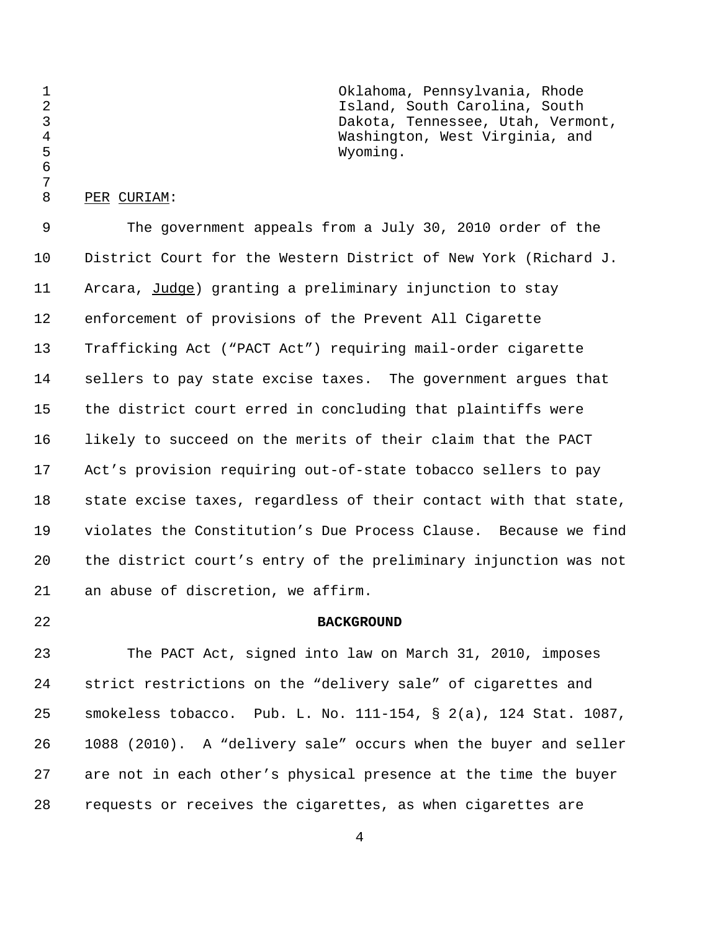Oklahoma, Pennsylvania, Rhode Island, South Carolina, South 3<br>Bakota, Tennessee, Utah, Vermont,<br>Washington, West Virginia, and Washington, West Virginia, and Wyoming. 

## PER CURIAM:

 The government appeals from a July 30, 2010 order of the District Court for the Western District of New York (Richard J. Arcara, Judge) granting a preliminary injunction to stay enforcement of provisions of the Prevent All Cigarette Trafficking Act ("PACT Act") requiring mail-order cigarette sellers to pay state excise taxes. The government argues that the district court erred in concluding that plaintiffs were likely to succeed on the merits of their claim that the PACT Act's provision requiring out-of-state tobacco sellers to pay state excise taxes, regardless of their contact with that state, violates the Constitution's Due Process Clause. Because we find the district court's entry of the preliminary injunction was not an abuse of discretion, we affirm.

## **BACKGROUND**

 The PACT Act, signed into law on March 31, 2010, imposes strict restrictions on the "delivery sale" of cigarettes and smokeless tobacco. Pub. L. No. 111-154, § 2(a), 124 Stat. 1087, 1088 (2010). A "delivery sale" occurs when the buyer and seller are not in each other's physical presence at the time the buyer requests or receives the cigarettes, as when cigarettes are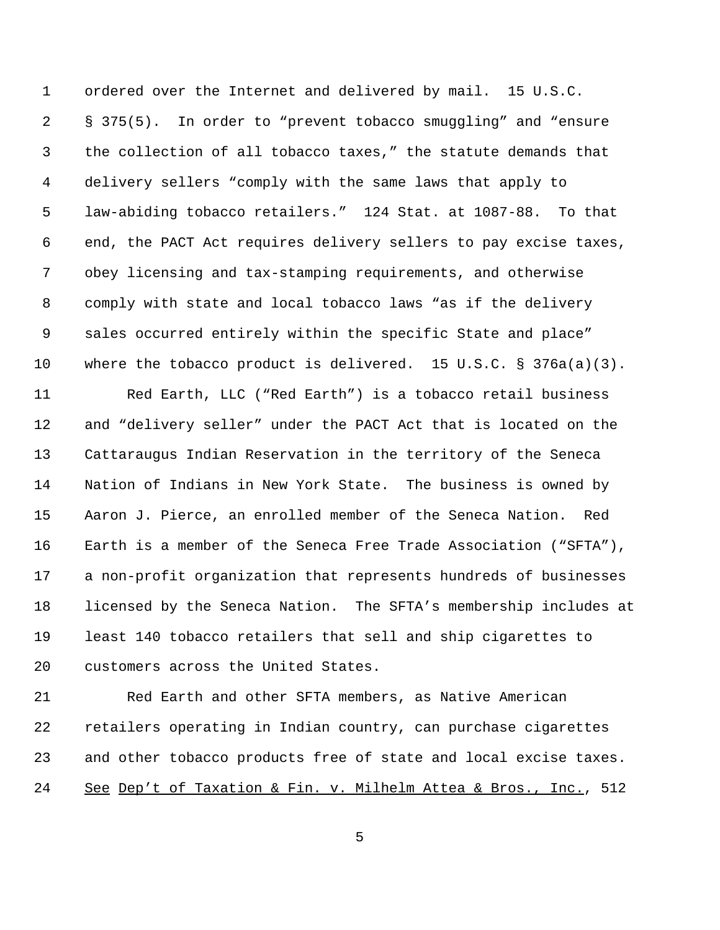ordered over the Internet and delivered by mail. 15 U.S.C. § 375(5). In order to "prevent tobacco smuggling" and "ensure the collection of all tobacco taxes," the statute demands that delivery sellers "comply with the same laws that apply to law-abiding tobacco retailers." 124 Stat. at 1087-88. To that end, the PACT Act requires delivery sellers to pay excise taxes, obey licensing and tax-stamping requirements, and otherwise comply with state and local tobacco laws "as if the delivery sales occurred entirely within the specific State and place" where the tobacco product is delivered. 15 U.S.C. § 376a(a)(3).

 Red Earth, LLC ("Red Earth") is a tobacco retail business and "delivery seller" under the PACT Act that is located on the Cattaraugus Indian Reservation in the territory of the Seneca Nation of Indians in New York State. The business is owned by Aaron J. Pierce, an enrolled member of the Seneca Nation. Red Earth is a member of the Seneca Free Trade Association ("SFTA"), a non-profit organization that represents hundreds of businesses licensed by the Seneca Nation. The SFTA's membership includes at least 140 tobacco retailers that sell and ship cigarettes to customers across the United States.

 Red Earth and other SFTA members, as Native American retailers operating in Indian country, can purchase cigarettes and other tobacco products free of state and local excise taxes. 24 See Dep't of Taxation & Fin. v. Milhelm Attea & Bros., Inc., 512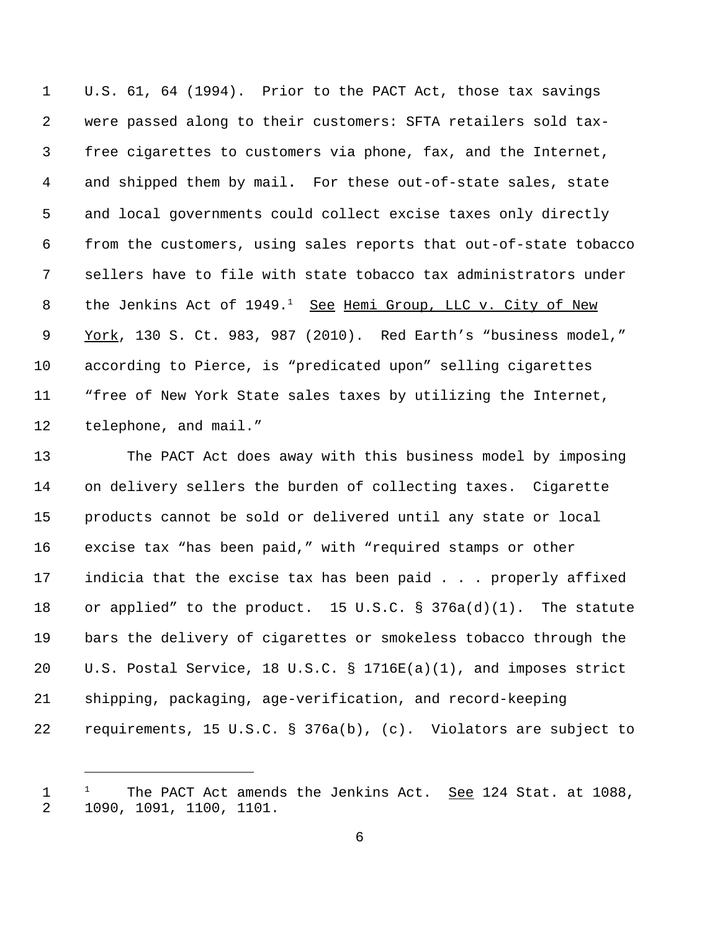U.S. 61, 64 (1994). Prior to the PACT Act, those tax savings were passed along to their customers: SFTA retailers sold tax- free cigarettes to customers via phone, fax, and the Internet, and shipped them by mail**.** For these out-of-state sales, state and local governments could collect excise taxes only directly from the customers, using sales reports that out-of-state tobacco sellers have to file with state tobacco tax administrators under 8 the Jenkins Act of 1949.<sup>1</sup> See Hemi Group, LLC v. City of New 9 York, 130 S. Ct. 983, 987 (2010). Red Earth's "business model," according to Pierce, is "predicated upon" selling cigarettes "free of New York State sales taxes by utilizing the Internet, telephone, and mail."

 The PACT Act does away with this business model by imposing on delivery sellers the burden of collecting taxes. Cigarette products cannot be sold or delivered until any state or local excise tax "has been paid," with "required stamps or other indicia that the excise tax has been paid . . . properly affixed or applied" to the product. 15 U.S.C. § 376a(d)(1). The statute bars the delivery of cigarettes or smokeless tobacco through the U.S. Postal Service, 18 U.S.C. § 1716E(a)(1), and imposes strict shipping, packaging, age-verification, and record-keeping requirements, 15 U.S.C. § 376a(b), (c). Violators are subject to

 <sup>1</sup> The PACT Act amends the Jenkins Act. <u>See</u> 124 Stat. at 1088, 1090, 1091, 1100, 1101.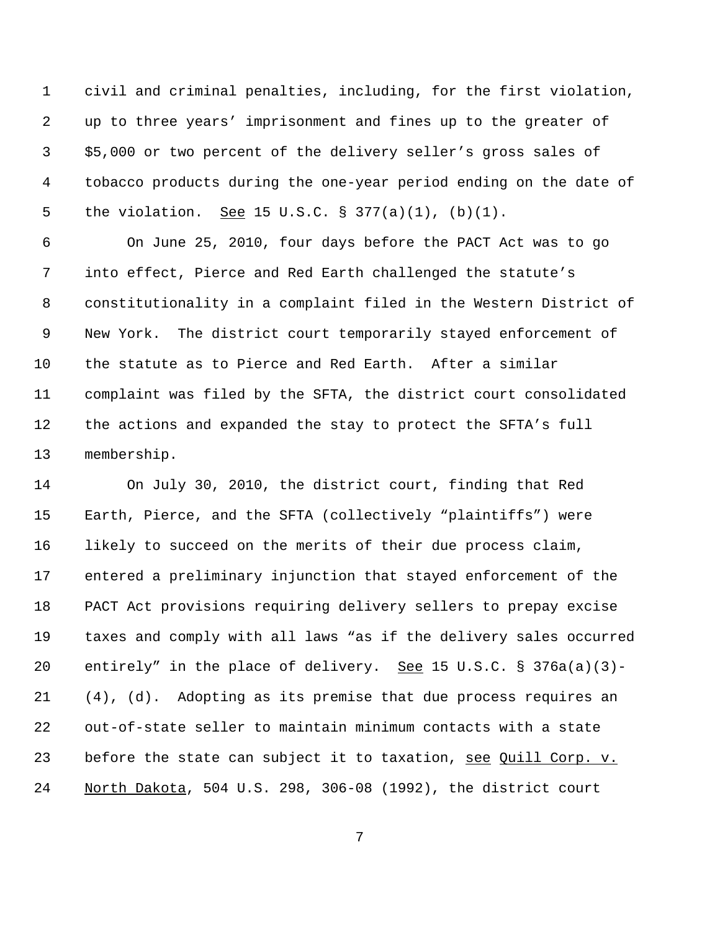civil and criminal penalties, including, for the first violation, up to three years' imprisonment and fines up to the greater of \$5,000 or two percent of the delivery seller's gross sales of tobacco products during the one-year period ending on the date of the violation. See 15 U.S.C. § 377(a)(1), (b)(1).

 On June 25, 2010, four days before the PACT Act was to go into effect, Pierce and Red Earth challenged the statute's constitutionality in a complaint filed in the Western District of New York. The district court temporarily stayed enforcement of the statute as to Pierce and Red Earth. After a similar complaint was filed by the SFTA, the district court consolidated the actions and expanded the stay to protect the SFTA's full membership.

 On July 30, 2010, the district court, finding that Red Earth, Pierce, and the SFTA (collectively "plaintiffs") were likely to succeed on the merits of their due process claim, entered a preliminary injunction that stayed enforcement of the PACT Act provisions requiring delivery sellers to prepay excise taxes and comply with all laws "as if the delivery sales occurred entirely" in the place of delivery. See 15 U.S.C. § 376a(a)(3)- (4), (d). Adopting as its premise that due process requires an out-of-state seller to maintain minimum contacts with a state before the state can subject it to taxation, see Quill Corp. v. North Dakota, 504 U.S. 298, 306-08 (1992), the district court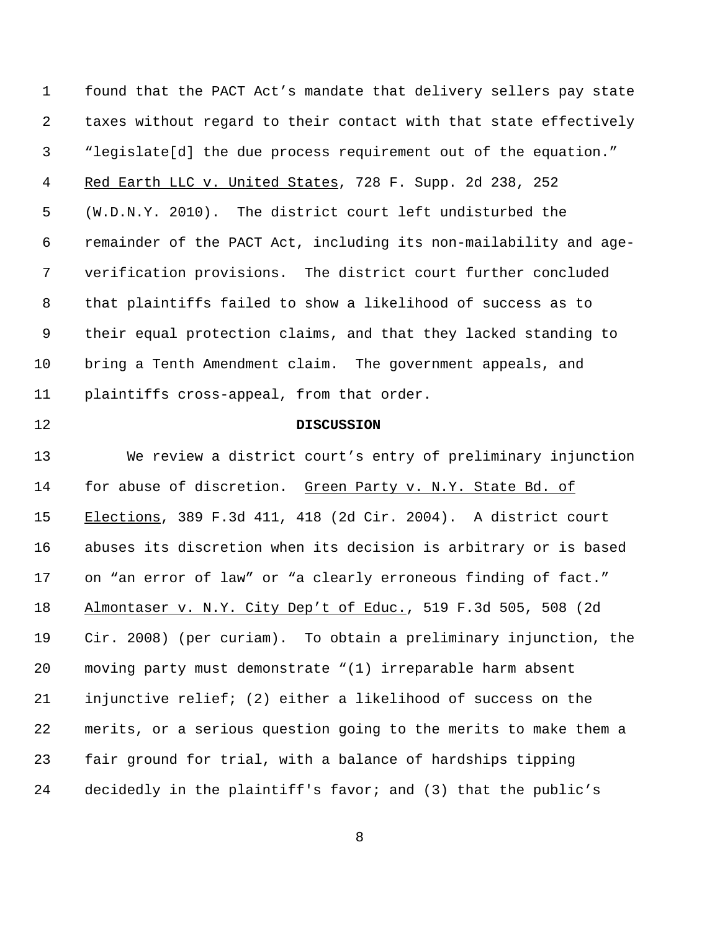found that the PACT Act's mandate that delivery sellers pay state taxes without regard to their contact with that state effectively "legislate[d] the due process requirement out of the equation." Red Earth LLC v. United States, 728 F. Supp. 2d 238, 252 (W.D.N.Y. 2010). The district court left undisturbed the remainder of the PACT Act, including its non-mailability and age- verification provisions. The district court further concluded that plaintiffs failed to show a likelihood of success as to their equal protection claims, and that they lacked standing to bring a Tenth Amendment claim. The government appeals, and plaintiffs cross-appeal, from that order. **DISCUSSION** We review a district court's entry of preliminary injunction for abuse of discretion. Green Party v. N.Y. State Bd. of Elections, 389 F.3d 411, 418 (2d Cir. 2004). A district court abuses its discretion when its decision is arbitrary or is based on "an error of law" or "a clearly erroneous finding of fact." Almontaser v. N.Y. City Dep't of Educ., 519 F.3d 505, 508 (2d Cir. 2008) (per curiam). To obtain a preliminary injunction, the moving party must demonstrate "(1) irreparable harm absent injunctive relief; (2) either a likelihood of success on the merits, or a serious question going to the merits to make them a

decidedly in the plaintiff's favor; and (3) that the public's

fair ground for trial, with a balance of hardships tipping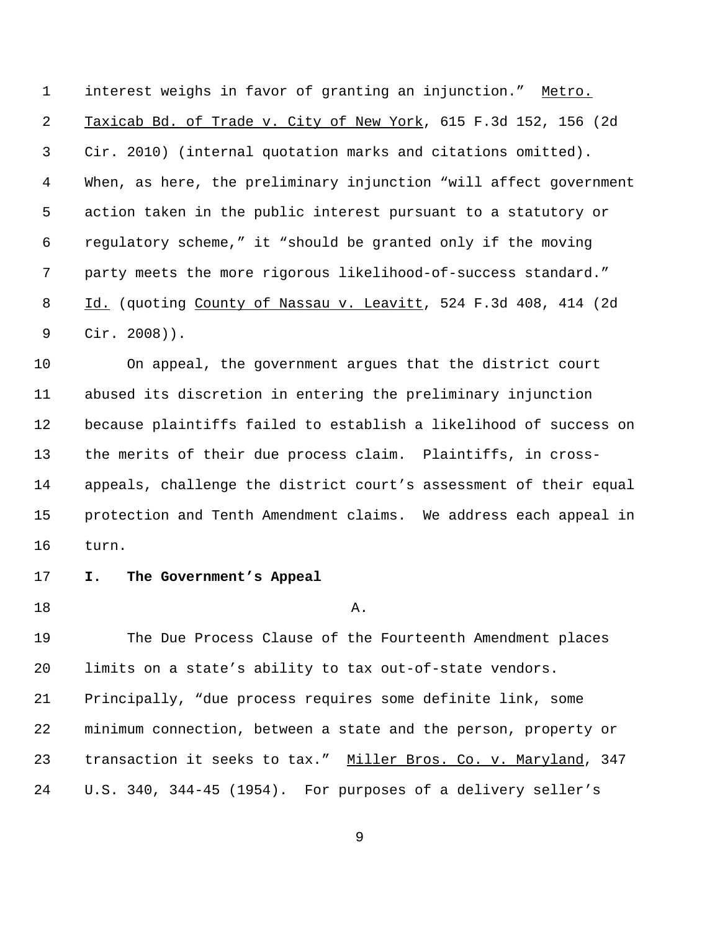interest weighs in favor of granting an injunction." Metro. Taxicab Bd. of Trade v. City of New York, 615 F.3d 152, 156 (2d Cir. 2010) (internal quotation marks and citations omitted). When, as here, the preliminary injunction "will affect government action taken in the public interest pursuant to a statutory or regulatory scheme," it "should be granted only if the moving party meets the more rigorous likelihood-of-success standard." 8 Id. (quoting County of Nassau v. Leavitt, 524 F.3d 408, 414 (2d Cir. 2008)).

 On appeal, the government argues that the district court abused its discretion in entering the preliminary injunction because plaintiffs failed to establish a likelihood of success on the merits of their due process claim. Plaintiffs, in cross- appeals, challenge the district court's assessment of their equal protection and Tenth Amendment claims. We address each appeal in turn.

**I. The Government's Appeal**

A.

 The Due Process Clause of the Fourteenth Amendment places limits on a state's ability to tax out-of-state vendors. Principally, "due process requires some definite link, some minimum connection, between a state and the person, property or transaction it seeks to tax." Miller Bros. Co. v. Maryland, 347 U.S. 340, 344-45 (1954). For purposes of a delivery seller's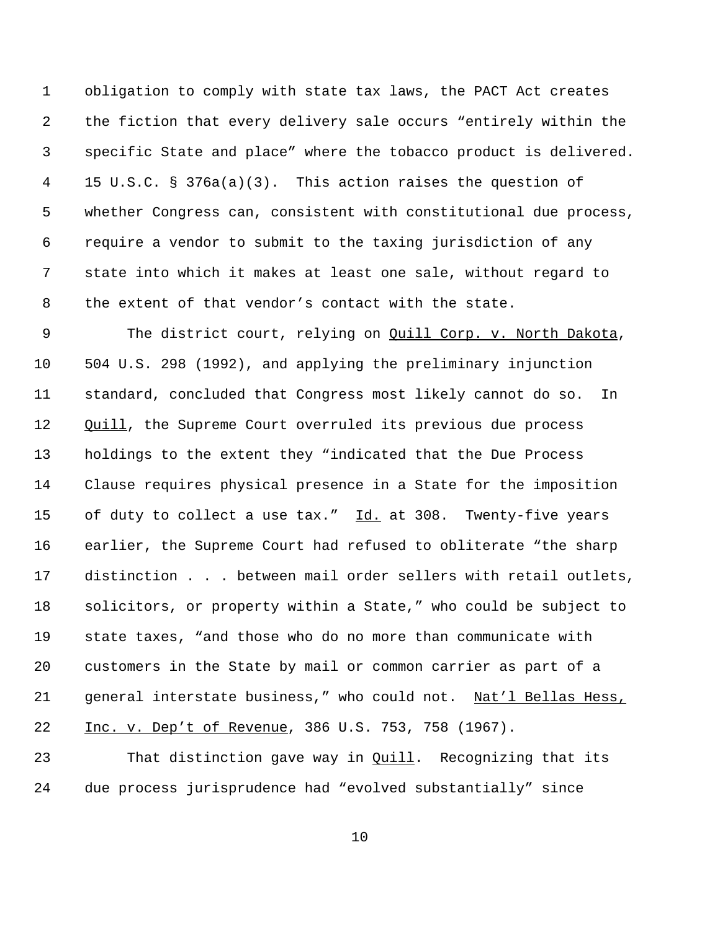obligation to comply with state tax laws, the PACT Act creates the fiction that every delivery sale occurs "entirely within the specific State and place" where the tobacco product is delivered. 15 U.S.C. § 376a(a)(3). This action raises the question of whether Congress can, consistent with constitutional due process, require a vendor to submit to the taxing jurisdiction of any state into which it makes at least one sale, without regard to the extent of that vendor's contact with the state.

9 The district court, relying on Quill Corp. v. North Dakota, 504 U.S. 298 (1992), and applying the preliminary injunction standard, concluded that Congress most likely cannot do so. In 12 Quill, the Supreme Court overruled its previous due process holdings to the extent they "indicated that the Due Process Clause requires physical presence in a State for the imposition 15 of duty to collect a use tax." Id. at 308. Twenty-five years earlier, the Supreme Court had refused to obliterate "the sharp distinction . . . between mail order sellers with retail outlets, solicitors, or property within a State," who could be subject to state taxes, "and those who do no more than communicate with customers in the State by mail or common carrier as part of a 21 general interstate business," who could not. Nat'l Bellas Hess, Inc. v. Dep't of Revenue, 386 U.S. 753, 758 (1967).

 That distinction gave way in Quill. Recognizing that its due process jurisprudence had "evolved substantially" since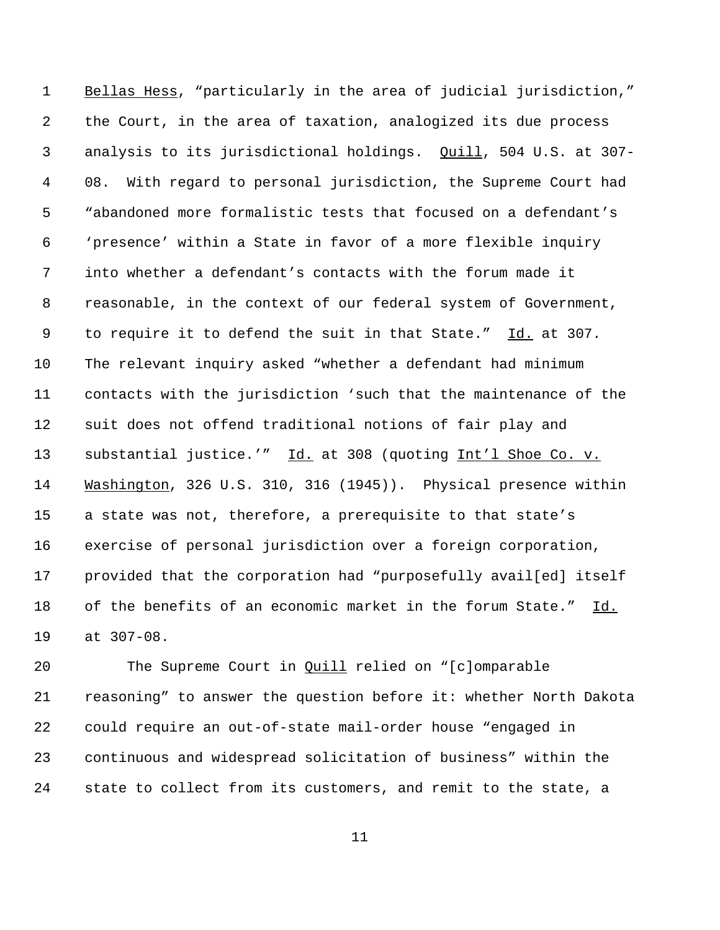1 Bellas Hess, "particularly in the area of judicial jurisdiction," the Court, in the area of taxation, analogized its due process analysis to its jurisdictional holdings. Quill, 504 U.S. at 307- 08. With regard to personal jurisdiction, the Supreme Court had "abandoned more formalistic tests that focused on a defendant's 'presence' within a State in favor of a more flexible inquiry into whether a defendant's contacts with the forum made it reasonable, in the context of our federal system of Government, to require it to defend the suit in that State." Id. at 307. The relevant inquiry asked "whether a defendant had minimum contacts with the jurisdiction 'such that the maintenance of the suit does not offend traditional notions of fair play and substantial justice.'" Id. at 308 (quoting Int'l Shoe Co. v. Washington, 326 U.S. 310, 316 (1945)). Physical presence within a state was not, therefore, a prerequisite to that state's exercise of personal jurisdiction over a foreign corporation, provided that the corporation had "purposefully avail[ed] itself of the benefits of an economic market in the forum State." Id. at 307-08.

20 The Supreme Court in Quill relied on "[c]omparable reasoning" to answer the question before it: whether North Dakota could require an out-of-state mail-order house "engaged in continuous and widespread solicitation of business" within the state to collect from its customers, and remit to the state, a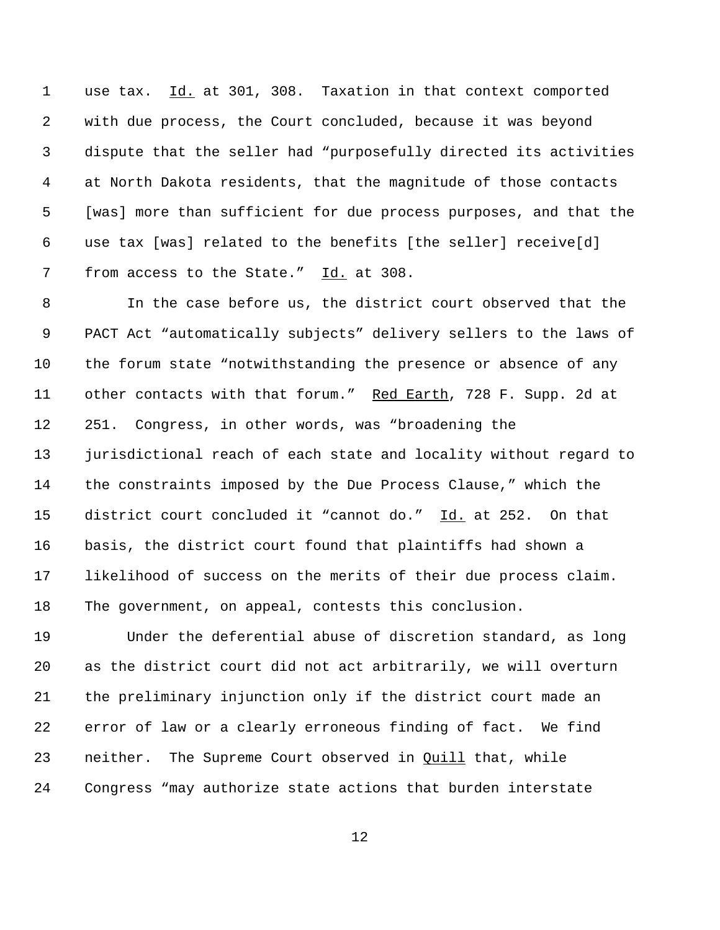1 use tax. Id. at 301, 308. Taxation in that context comported with due process, the Court concluded, because it was beyond dispute that the seller had "purposefully directed its activities at North Dakota residents, that the magnitude of those contacts [was] more than sufficient for due process purposes, and that the use tax [was] related to the benefits [the seller] receive[d] 7 from access to the State." Id. at 308.

 In the case before us, the district court observed that the PACT Act "automatically subjects" delivery sellers to the laws of the forum state "notwithstanding the presence or absence of any other contacts with that forum." Red Earth, 728 F. Supp. 2d at 251. Congress, in other words, was "broadening the jurisdictional reach of each state and locality without regard to the constraints imposed by the Due Process Clause," which the 15 district court concluded it "cannot do." Id. at 252. On that basis, the district court found that plaintiffs had shown a likelihood of success on the merits of their due process claim. The government, on appeal, contests this conclusion.

 Under the deferential abuse of discretion standard, as long as the district court did not act arbitrarily, we will overturn the preliminary injunction only if the district court made an error of law or a clearly erroneous finding of fact. We find neither. The Supreme Court observed in Quill that, while Congress "may authorize state actions that burden interstate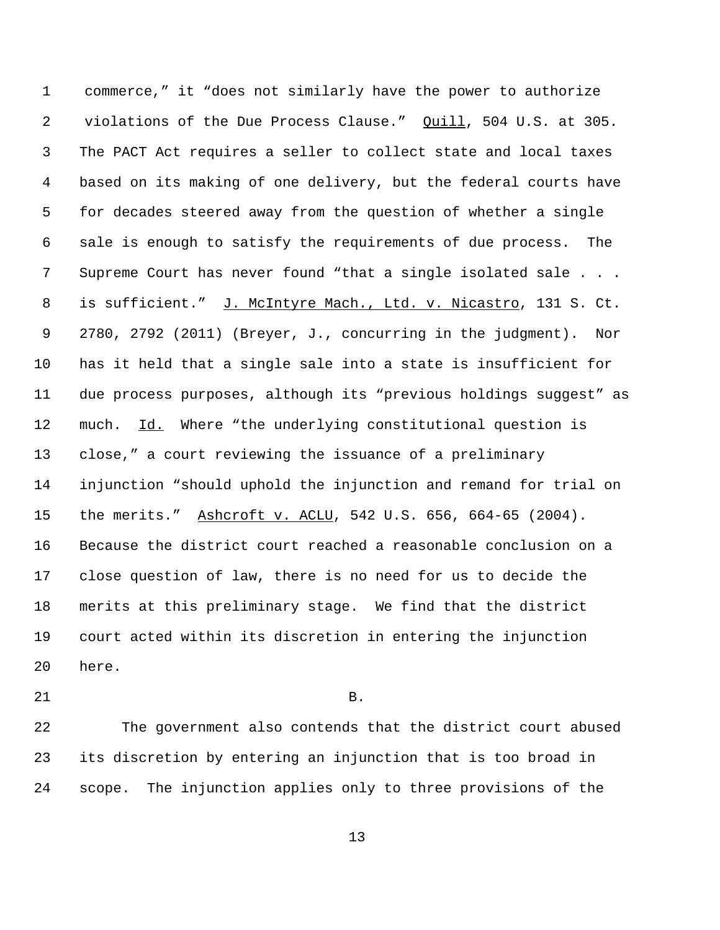commerce," it "does not similarly have the power to authorize 2 violations of the Due Process Clause." Quill, 504 U.S. at 305. The PACT Act requires a seller to collect state and local taxes based on its making of one delivery, but the federal courts have for decades steered away from the question of whether a single sale is enough to satisfy the requirements of due process. The Supreme Court has never found "that a single isolated sale . . . 8 is sufficient." J. McIntyre Mach., Ltd. v. Nicastro, 131 S. Ct. 2780, 2792 (2011) (Breyer, J., concurring in the judgment). Nor has it held that a single sale into a state is insufficient for due process purposes, although its "previous holdings suggest" as 12 much. Id. Where "the underlying constitutional question is close," a court reviewing the issuance of a preliminary injunction "should uphold the injunction and remand for trial on the merits." Ashcroft v. ACLU, 542 U.S. 656, 664-65 (2004). Because the district court reached a reasonable conclusion on a close question of law, there is no need for us to decide the merits at this preliminary stage. We find that the district court acted within its discretion in entering the injunction here.

21 B.

 The government also contends that the district court abused its discretion by entering an injunction that is too broad in scope. The injunction applies only to three provisions of the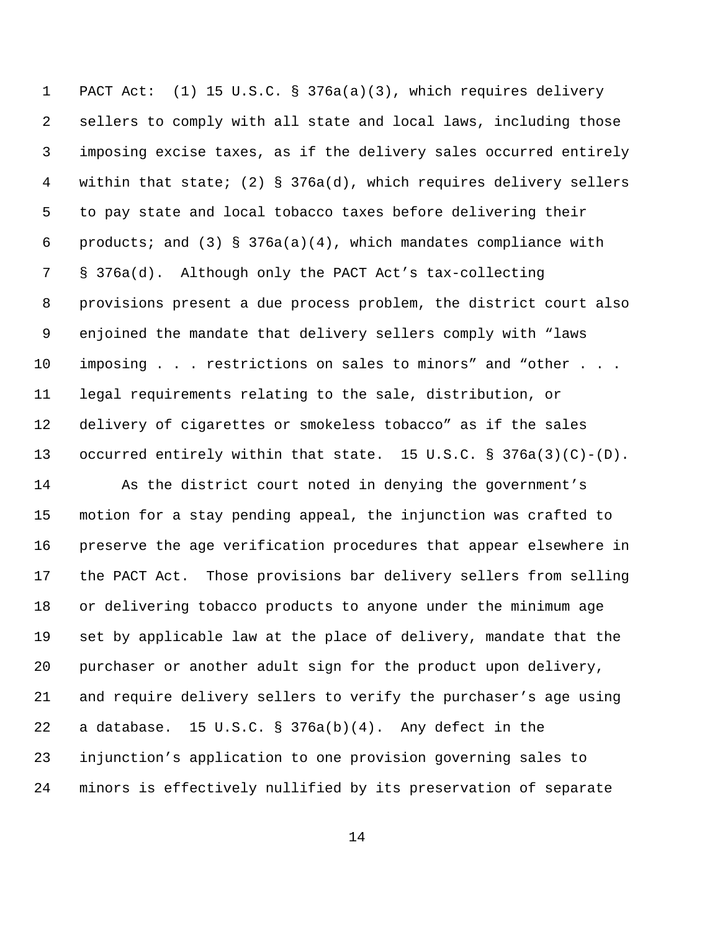PACT Act: (1) 15 U.S.C. § 376a(a)(3), which requires delivery sellers to comply with all state and local laws, including those imposing excise taxes, as if the delivery sales occurred entirely within that state; (2) § 376a(d), which requires delivery sellers to pay state and local tobacco taxes before delivering their 6 products; and (3) § 376a(a)(4), which mandates compliance with § 376a(d). Although only the PACT Act's tax-collecting provisions present a due process problem, the district court also enjoined the mandate that delivery sellers comply with "laws imposing . . . restrictions on sales to minors" and "other . . . legal requirements relating to the sale, distribution, or delivery of cigarettes or smokeless tobacco" as if the sales occurred entirely within that state. 15 U.S.C. § 376a(3)(C)-(D).

 As the district court noted in denying the government's motion for a stay pending appeal, the injunction was crafted to preserve the age verification procedures that appear elsewhere in the PACT Act. Those provisions bar delivery sellers from selling or delivering tobacco products to anyone under the minimum age set by applicable law at the place of delivery, mandate that the purchaser or another adult sign for the product upon delivery, and require delivery sellers to verify the purchaser's age using a database. 15 U.S.C. § 376a(b)(4). Any defect in the injunction's application to one provision governing sales to minors is effectively nullified by its preservation of separate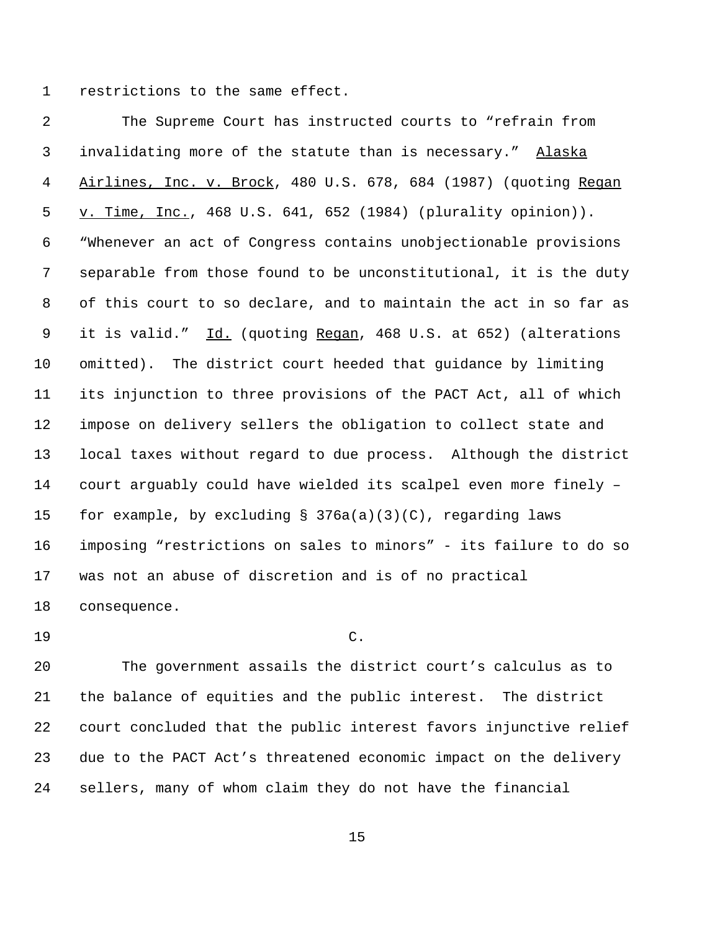restrictions to the same effect.

 The Supreme Court has instructed courts to "refrain from invalidating more of the statute than is necessary." Alaska Airlines, Inc. v. Brock, 480 U.S. 678, 684 (1987) (quoting Regan v. Time, Inc., 468 U.S. 641, 652 (1984) (plurality opinion)). "Whenever an act of Congress contains unobjectionable provisions separable from those found to be unconstitutional, it is the duty of this court to so declare, and to maintain the act in so far as 9 it is valid." Id. (quoting Regan, 468 U.S. at 652) (alterations omitted). The district court heeded that guidance by limiting its injunction to three provisions of the PACT Act, all of which impose on delivery sellers the obligation to collect state and local taxes without regard to due process. Although the district court arguably could have wielded its scalpel even more finely – for example, by excluding § 376a(a)(3)(C), regarding laws imposing "restrictions on sales to minors" - its failure to do so was not an abuse of discretion and is of no practical consequence.

C.

 The government assails the district court's calculus as to the balance of equities and the public interest. The district court concluded that the public interest favors injunctive relief due to the PACT Act's threatened economic impact on the delivery sellers, many of whom claim they do not have the financial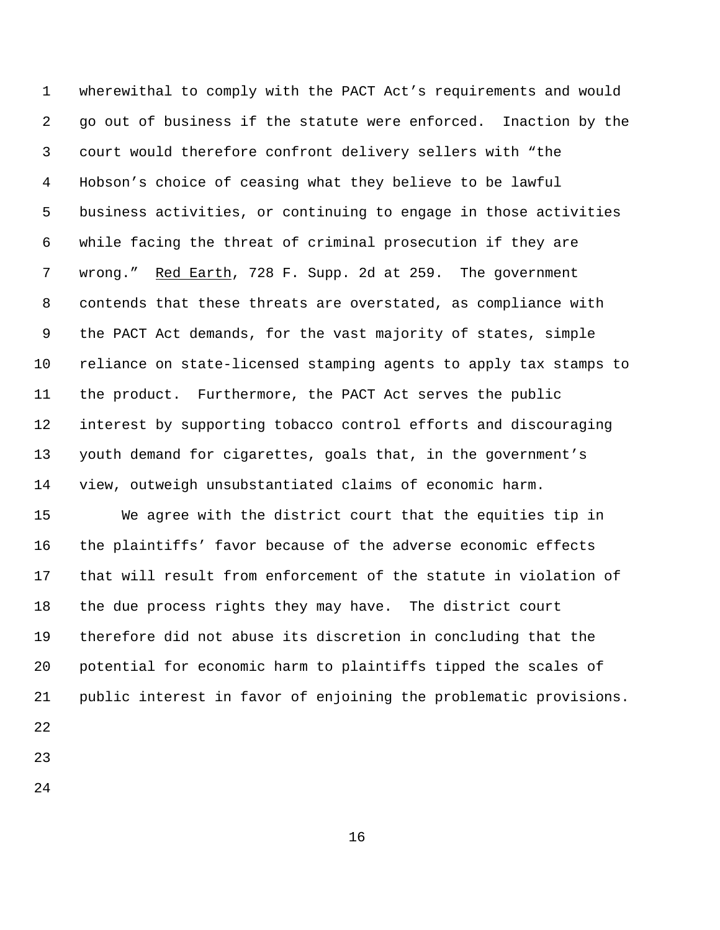wherewithal to comply with the PACT Act's requirements and would go out of business if the statute were enforced. Inaction by the court would therefore confront delivery sellers with "the Hobson's choice of ceasing what they believe to be lawful business activities, or continuing to engage in those activities while facing the threat of criminal prosecution if they are 7 wrong." Red Earth, 728 F. Supp. 2d at 259. The government contends that these threats are overstated, as compliance with the PACT Act demands, for the vast majority of states, simple reliance on state-licensed stamping agents to apply tax stamps to the product. Furthermore, the PACT Act serves the public interest by supporting tobacco control efforts and discouraging youth demand for cigarettes, goals that, in the government's view, outweigh unsubstantiated claims of economic harm.

 We agree with the district court that the equities tip in the plaintiffs' favor because of the adverse economic effects that will result from enforcement of the statute in violation of the due process rights they may have. The district court therefore did not abuse its discretion in concluding that the potential for economic harm to plaintiffs tipped the scales of public interest in favor of enjoining the problematic provisions.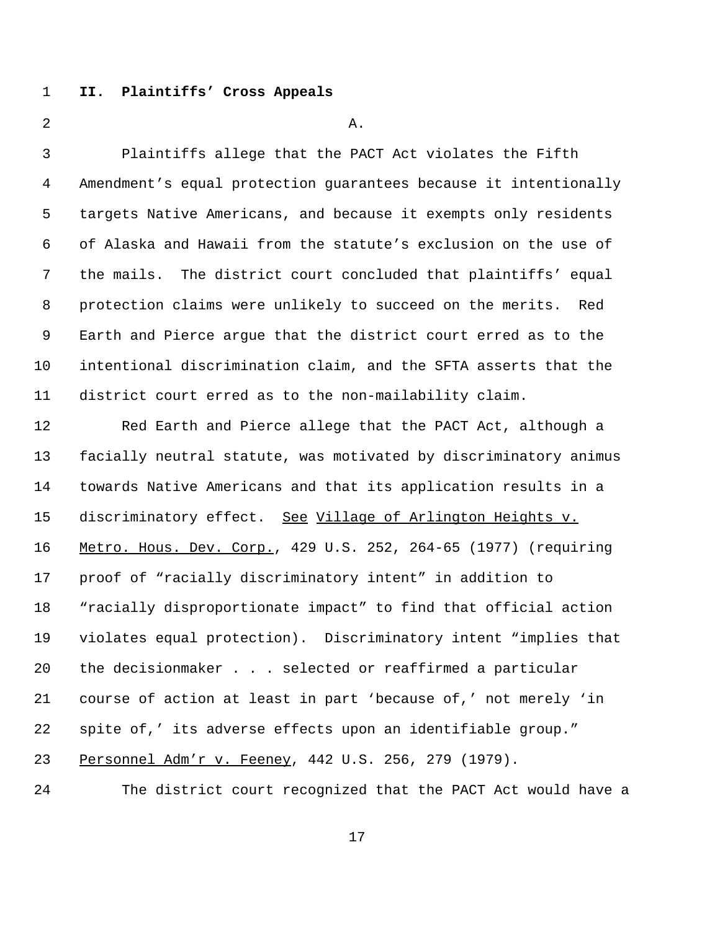## **II. Plaintiffs' Cross Appeals**

 $A$ .

 Plaintiffs allege that the PACT Act violates the Fifth Amendment's equal protection guarantees because it intentionally targets Native Americans, and because it exempts only residents of Alaska and Hawaii from the statute's exclusion on the use of the mails. The district court concluded that plaintiffs' equal protection claims were unlikely to succeed on the merits. Red Earth and Pierce argue that the district court erred as to the intentional discrimination claim, and the SFTA asserts that the district court erred as to the non-mailability claim.

 Red Earth and Pierce allege that the PACT Act, although a facially neutral statute, was motivated by discriminatory animus towards Native Americans and that its application results in a 15 discriminatory effect. See Village of Arlington Heights v. Metro. Hous. Dev. Corp., 429 U.S. 252, 264-65 (1977) (requiring proof of "racially discriminatory intent" in addition to "racially disproportionate impact" to find that official action violates equal protection). Discriminatory intent "implies that the decisionmaker . . . selected or reaffirmed a particular course of action at least in part 'because of,' not merely 'in spite of,' its adverse effects upon an identifiable group." 23 Personnel Adm'r v. Feeney, 442 U.S. 256, 279 (1979).

The district court recognized that the PACT Act would have a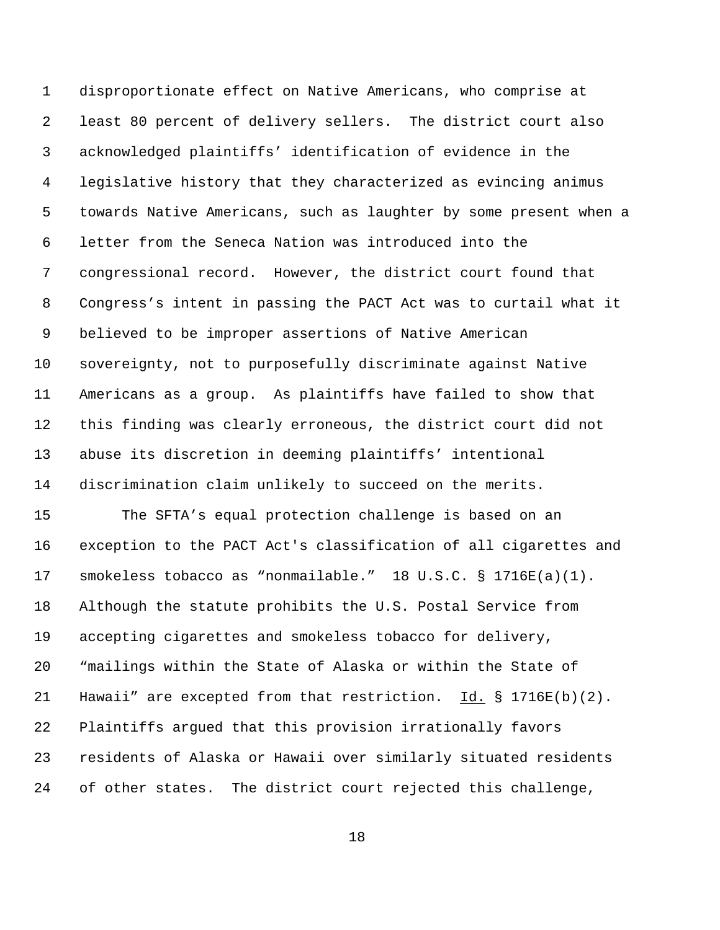disproportionate effect on Native Americans, who comprise at least 80 percent of delivery sellers. The district court also acknowledged plaintiffs' identification of evidence in the legislative history that they characterized as evincing animus towards Native Americans, such as laughter by some present when a letter from the Seneca Nation was introduced into the congressional record. However, the district court found that Congress's intent in passing the PACT Act was to curtail what it believed to be improper assertions of Native American sovereignty, not to purposefully discriminate against Native Americans as a group. As plaintiffs have failed to show that this finding was clearly erroneous, the district court did not abuse its discretion in deeming plaintiffs' intentional discrimination claim unlikely to succeed on the merits. The SFTA's equal protection challenge is based on an exception to the PACT Act's classification of all cigarettes and smokeless tobacco as "nonmailable." 18 U.S.C. § 1716E(a)(1). Although the statute prohibits the U.S. Postal Service from accepting cigarettes and smokeless tobacco for delivery, "mailings within the State of Alaska or within the State of 21 Hawaii" are excepted from that restriction.  $\underline{Id.}$  § 1716E(b)(2).

 residents of Alaska or Hawaii over similarly situated residents of other states. The district court rejected this challenge,

Plaintiffs argued that this provision irrationally favors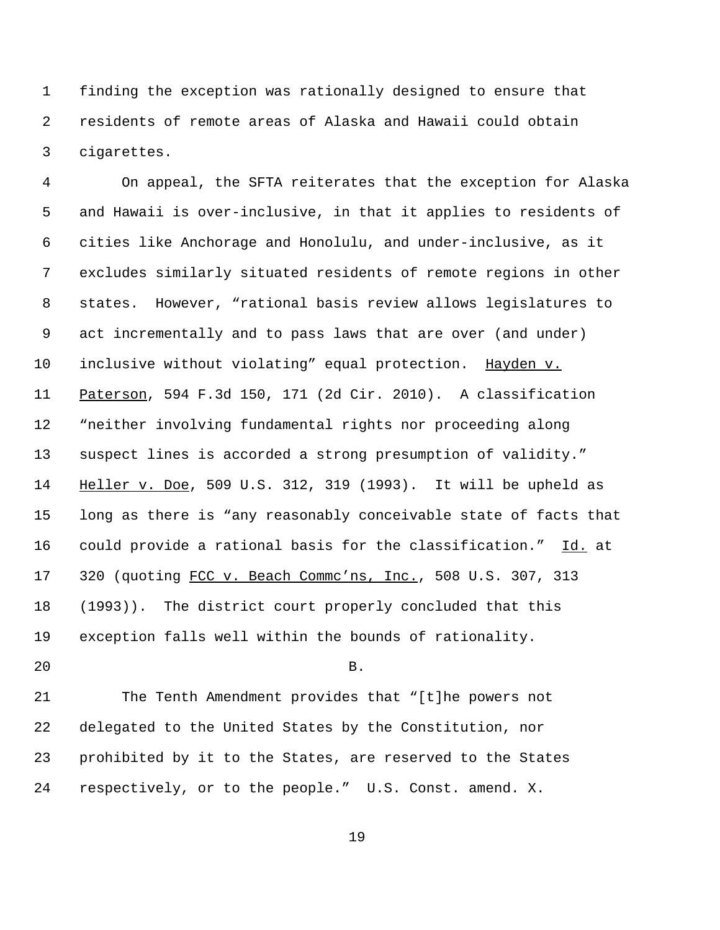finding the exception was rationally designed to ensure that residents of remote areas of Alaska and Hawaii could obtain cigarettes.

 On appeal, the SFTA reiterates that the exception for Alaska and Hawaii is over-inclusive, in that it applies to residents of cities like Anchorage and Honolulu, and under-inclusive, as it excludes similarly situated residents of remote regions in other states. However, "rational basis review allows legislatures to act incrementally and to pass laws that are over (and under) inclusive without violating" equal protection. Hayden v. Paterson, 594 F.3d 150, 171 (2d Cir. 2010). A classification "neither involving fundamental rights nor proceeding along suspect lines is accorded a strong presumption of validity." Heller v. Doe, 509 U.S. 312, 319 (1993). It will be upheld as long as there is "any reasonably conceivable state of facts that 16 could provide a rational basis for the classification." Id. at 17 320 (quoting FCC v. Beach Commc'ns, Inc., 508 U.S. 307, 313 (1993)). The district court properly concluded that this exception falls well within the bounds of rationality.

B.

 The Tenth Amendment provides that "[t]he powers not delegated to the United States by the Constitution, nor prohibited by it to the States, are reserved to the States respectively, or to the people." U.S. Const. amend. X.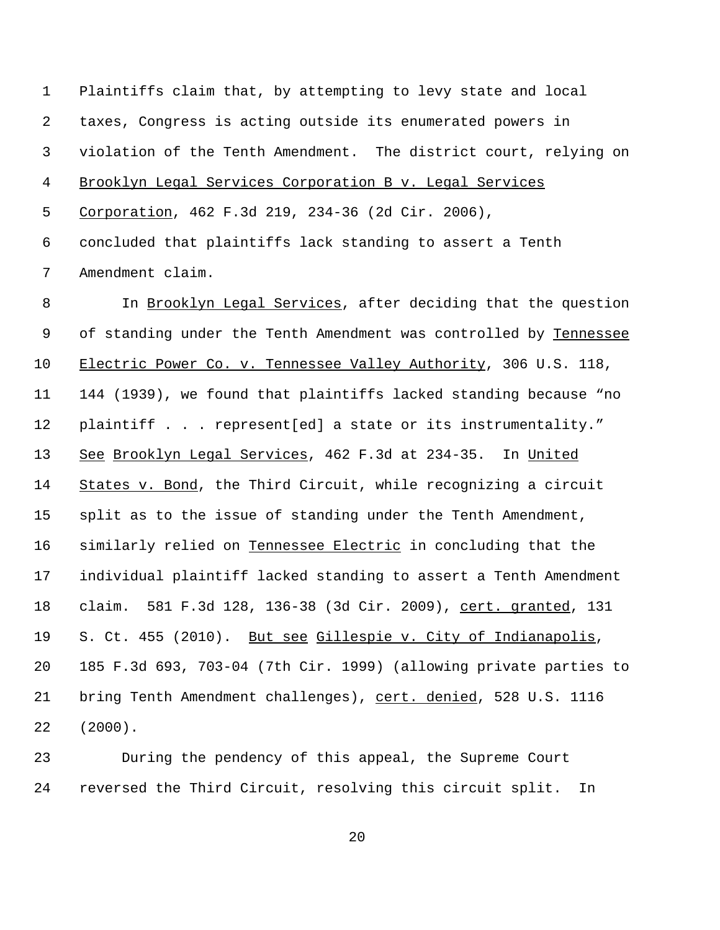Plaintiffs claim that, by attempting to levy state and local taxes, Congress is acting outside its enumerated powers in violation of the Tenth Amendment. The district court, relying on Brooklyn Legal Services Corporation B v. Legal Services Corporation, 462 F.3d 219, 234-36 (2d Cir. 2006), concluded that plaintiffs lack standing to assert a Tenth Amendment claim. 8 In Brooklyn Legal Services, after deciding that the question of standing under the Tenth Amendment was controlled by Tennessee Electric Power Co. v. Tennessee Valley Authority, 306 U.S. 118, 144 (1939), we found that plaintiffs lacked standing because "no plaintiff . . . represent[ed] a state or its instrumentality." See Brooklyn Legal Services, 462 F.3d at 234-35. In United States v. Bond, the Third Circuit, while recognizing a circuit split as to the issue of standing under the Tenth Amendment, similarly relied on Tennessee Electric in concluding that the individual plaintiff lacked standing to assert a Tenth Amendment claim. 581 F.3d 128, 136-38 (3d Cir. 2009), cert. granted, 131 19 S. Ct. 455 (2010). But see Gillespie v. City of Indianapolis, 185 F.3d 693, 703-04 (7th Cir. 1999) (allowing private parties to 21 bring Tenth Amendment challenges), cert. denied, 528 U.S. 1116 (2000). During the pendency of this appeal, the Supreme Court

reversed the Third Circuit, resolving this circuit split. In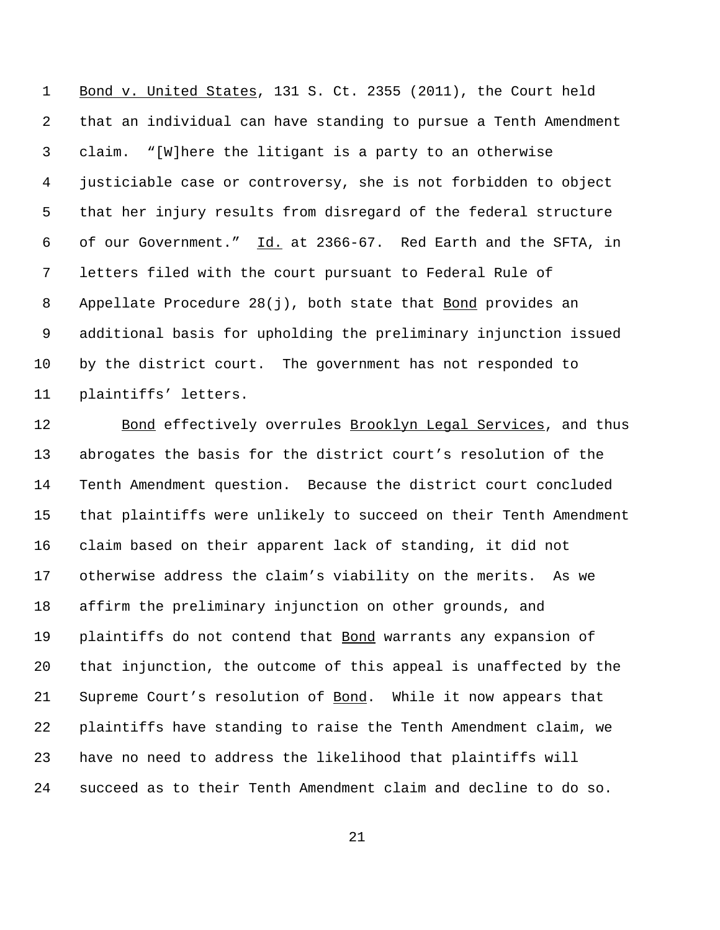Bond v. United States, 131 S. Ct. 2355 (2011), the Court held that an individual can have standing to pursue a Tenth Amendment claim. "[W]here the litigant is a party to an otherwise justiciable case or controversy, she is not forbidden to object that her injury results from disregard of the federal structure of our Government." Id. at 2366-67. Red Earth and the SFTA, in letters filed with the court pursuant to Federal Rule of Appellate Procedure 28(j), both state that Bond provides an additional basis for upholding the preliminary injunction issued by the district court. The government has not responded to plaintiffs' letters.

12 Bond effectively overrules Brooklyn Legal Services, and thus abrogates the basis for the district court's resolution of the Tenth Amendment question. Because the district court concluded that plaintiffs were unlikely to succeed on their Tenth Amendment claim based on their apparent lack of standing, it did not otherwise address the claim's viability on the merits. As we affirm the preliminary injunction on other grounds, and 19 plaintiffs do not contend that Bond warrants any expansion of that injunction, the outcome of this appeal is unaffected by the 21 Supreme Court's resolution of Bond. While it now appears that plaintiffs have standing to raise the Tenth Amendment claim, we have no need to address the likelihood that plaintiffs will succeed as to their Tenth Amendment claim and decline to do so.